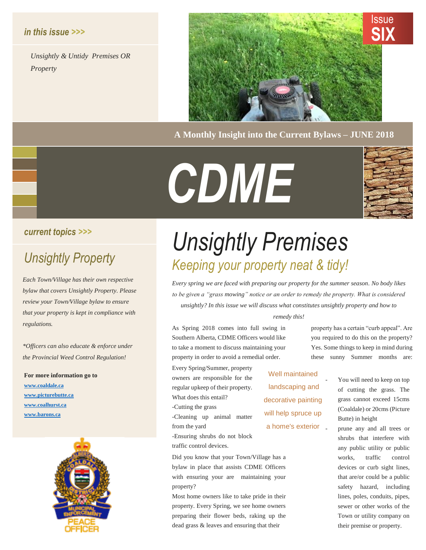#### *in this issue >>>*

*Unsightly & Untidy Premises OR Property*



**A Monthly Insight into the Current Bylaws – JUNE 2018**

# *CDME*



#### *current topics >>>*

*Each Town/Village has their own respective bylaw that covers Unsightly Property. Please review your Town/Village bylaw to ensure that your property is kept in compliance with regulations.* 

*\*Officers can also educate & enforce under the Provincial Weed Control Regulation!*

**For more information go to [www.coaldale.ca](http://www.coaldale.ca/) [www.picturebutte.ca](http://www.picturebutte.ca/) [www.coalhurst.ca](http://www.coalhurst.ca/) [www.barons.ca](http://www.barons.ca/)**



## *Unsightly Premises Unsightly Property Keeping your property neat & tidy!*

*Every spring we are faced with preparing our property for the summer season. No body likes to be given a "grass mowing" notice or an order to remedy the property. What is considered unsightly? In this issue we will discuss what constitutes unsightly property and how to* 

#### *remedy this!*

As Spring 2018 comes into full swing in Southern Alberta, CDME Officers would like to take a moment to discuss maintaining your property in order to avoid a remedial order.

Every Spring/Summer, property owners are responsible for the regular upkeep of their property. What does this entail?

-Cutting the grass

-Cleaning up animal matter from the yard

-Ensuring shrubs do not block traffic control devices.

Did you know that your Town/Village has a bylaw in place that assists CDME Officers with ensuring your are maintaining your property?

Most home owners like to take pride in their property. Every Spring, we see home owners preparing their flower beds, raking up the dead grass & leaves and ensuring that their

property has a certain "curb appeal". Are you required to do this on the property? Yes. Some things to keep in mind during these sunny Summer months are:

Well maintained landscaping and decorative painting will help spruce up a home's exterior

of cutting the grass. The grass cannot exceed 15cms (Coaldale) or 20cms (Picture Butte) in height

You will need to keep on top

- prune any and all trees or shrubs that interfere with any public utility or public works, traffic control devices or curb sight lines, that are/or could be a public safety hazard, including lines, poles, conduits, pipes, sewer or other works of the Town or utility company on their premise or property.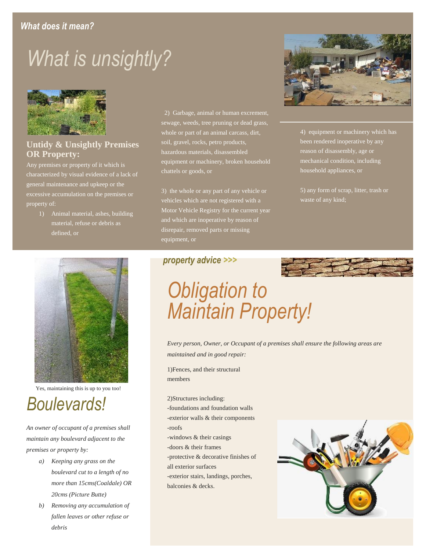### *What does it mean?*

## *What is unsightly?*



#### **Untidy & Unsightly Premises OR Property:**

Any premises or property of it which is characterized by visual evidence of a lack of general maintenance and upkeep or the excessive accumulation on the premises or property of:

> 1) Animal material, ashes, building material, refuse or debris as defined, or



Yes, maintaining this is up to you too!

## *Boulevards!*

*An owner of occupant of a premises shall maintain any boulevard adjacent to the premises or property by:*

- *a) Keeping any grass on the boulevard cut to a length of no more than 15cms(Coaldale) OR 20cms (Picture Butte)*
- *b) Removing any accumulation of fallen leaves or other refuse or debris*

2) Garbage, animal or human excrement, sewage, weeds, tree pruning or dead grass, whole or part of an animal carcass, dirt, soil, gravel, rocks, petro products, hazardous materials, disassembled equipment or machinery, broken household chattels or goods, or

3) the whole or any part of any vehicle or vehicles which are not registered with a Motor Vehicle Registry for the current year and which are inoperative by reason of disrepair, removed parts or missing equipment, or



4) equipment or machinery which has been rendered inoperative by any reason of disassembly, age or mechanical condition, including household appliances, or

5) any form of scrap, litter, trash or waste of any kind;

#### *property advice >>>*

*Obligation to Maintain Property!*

*Every person, Owner, or Occupant of a premises shall ensure the following areas are maintained and in good repair:*

1)Fences, and their structural members

2)Structures including:

- -foundations and foundation walls -exterior walls & their components -roofs
- -windows & their casings
- -doors & their frames
- -protective & decorative finishes of all exterior surfaces

-exterior stairs, landings, porches, balconies & decks.